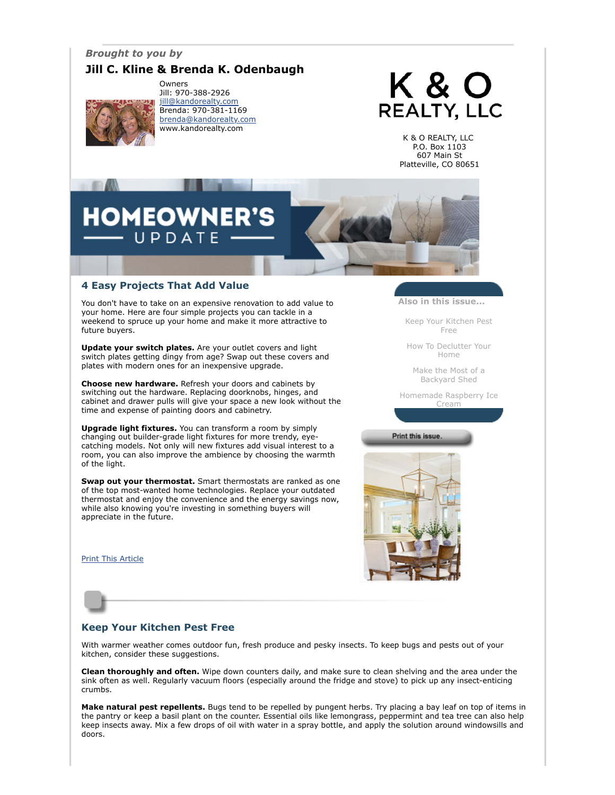# *Brought to you by*

# **Jill C. Kline & Brenda K. Odenbaugh**



Owners Jill: 970-388-2926 [jill@kandorealty.com](mailto:jill@kandorealty.com) Brenda: 970-381-1169 [brenda@kandorealty.com](mailto:brenda@kandorealty.com) www.kandorealty.com

# K & O **REALTY, LLC**

K & O REALTY, LLC P.O. Box 1103 607 Main St Platteville, CO 80651

# **DMEOWN** PDATE

# **4 Easy Projects That Add Value**

You don't have to take on an expensive renovation to add value to your home. Here are four simple projects you can tackle in a weekend to spruce up your home and make it more attractive to future buyers.

**Update your switch plates.** Are your outlet covers and light switch plates getting dingy from age? Swap out these covers and plates with modern ones for an inexpensive upgrade.

**Choose new hardware.** Refresh your doors and cabinets by switching out the hardware. Replacing doorknobs, hinges, and cabinet and drawer pulls will give your space a new look without the time and expense of painting doors and cabinetry.

**Upgrade light fixtures.** You can transform a room by simply changing out builder-grade light fixtures for more trendy, eyecatching models. Not only will new fixtures add visual interest to a room, you can also improve the ambience by choosing the warmth of the light.

**Swap out your thermostat.** Smart thermostats are ranked as one of the top most-wanted home technologies. Replace your outdated thermostat and enjoy the convenience and the energy savings now, while also knowing you're investing in something buyers will appreciate in the future.

#### [Print This Article](javascript:print();)



[Keep Your Kitchen Pest](#page-0-0) Free

[How To Declutter Your](#page-1-0) Home

[Make the Most of a](#page-1-1) Backyard Shed

[Homemade Raspberry Ice](#page-2-0) Cream

#### Print this issue



### <span id="page-0-0"></span>**Keep Your Kitchen Pest Free**

With warmer weather comes outdoor fun, fresh produce and pesky insects. To keep bugs and pests out of your kitchen, consider these suggestions.

**Clean thoroughly and often.** Wipe down counters daily, and make sure to clean shelving and the area under the sink often as well. Regularly vacuum floors (especially around the fridge and stove) to pick up any insect-enticing crumbs.

**Make natural pest repellents.** Bugs tend to be repelled by pungent herbs. Try placing a bay leaf on top of items in the pantry or keep a basil plant on the counter. Essential oils like lemongrass, peppermint and tea tree can also help keep insects away. Mix a few drops of oil with water in a spray bottle, and apply the solution around windowsills and doors.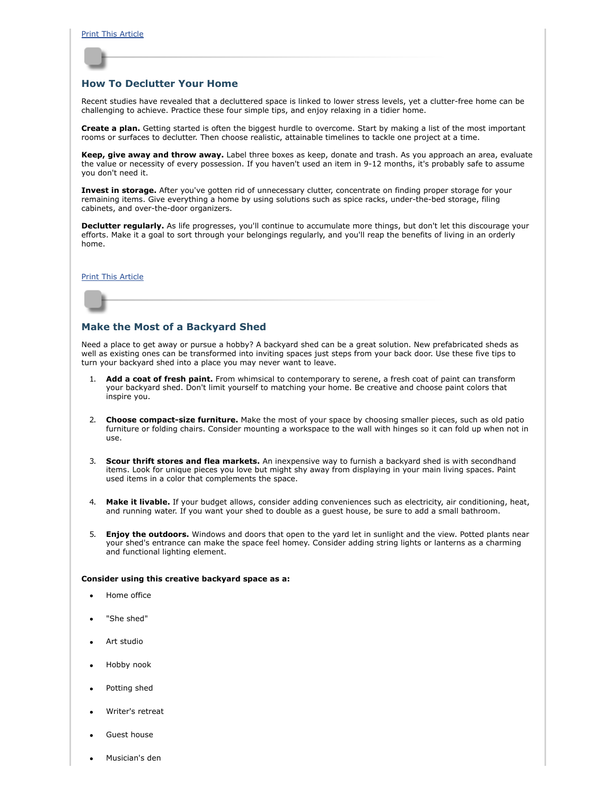

#### <span id="page-1-0"></span>**How To Declutter Your Home**

Recent studies have revealed that a decluttered space is linked to lower stress levels, yet a clutter-free home can be challenging to achieve. Practice these four simple tips, and enjoy relaxing in a tidier home.

**Create a plan.** Getting started is often the biggest hurdle to overcome. Start by making a list of the most important rooms or surfaces to declutter. Then choose realistic, attainable timelines to tackle one project at a time.

**Keep, give away and throw away.** Label three boxes as keep, donate and trash. As you approach an area, evaluate the value or necessity of every possession. If you haven't used an item in 9-12 months, it's probably safe to assume you don't need it.

**Invest in storage.** After you've gotten rid of unnecessary clutter, concentrate on finding proper storage for your remaining items. Give everything a home by using solutions such as spice racks, under-the-bed storage, filing cabinets, and over-the-door organizers.

**Declutter regularly.** As life progresses, you'll continue to accumulate more things, but don't let this discourage your efforts. Make it a goal to sort through your belongings regularly, and you'll reap the benefits of living in an orderly home.

#### [Print This Article](javascript:print();)

#### <span id="page-1-1"></span>**Make the Most of a Backyard Shed**

Need a place to get away or pursue a hobby? A backyard shed can be a great solution. New prefabricated sheds as well as existing ones can be transformed into inviting spaces just steps from your back door. Use these five tips to turn your backyard shed into a place you may never want to leave.

- Add a coat of fresh paint. From whimsical to contemporary to serene, a fresh coat of paint can transform your backyard shed. Don't limit yourself to matching your home. Be creative and choose paint colors that inspire you.
- 2. **Choose compact-size furniture.** Make the most of your space by choosing smaller pieces, such as old patio furniture or folding chairs. Consider mounting a workspace to the wall with hinges so it can fold up when not in use.
- 3. **Scour thrift stores and flea markets.** An inexpensive way to furnish a backyard shed is with secondhand items. Look for unique pieces you love but might shy away from displaying in your main living spaces. Paint used items in a color that complements the space.
- 4. **Make it livable.** If your budget allows, consider adding conveniences such as electricity, air conditioning, heat, and running water. If you want your shed to double as a guest house, be sure to add a small bathroom.
- 5. **Enjoy the outdoors.** Windows and doors that open to the yard let in sunlight and the view. Potted plants near your shed's entrance can make the space feel homey. Consider adding string lights or lanterns as a charming and functional lighting element.

#### **Consider using this creative backyard space as a:**

- Home office
- "She shed"
- Art studio
- Hobby nook
- Potting shed
- Writer's retreat
- Guest house
- Musician's den